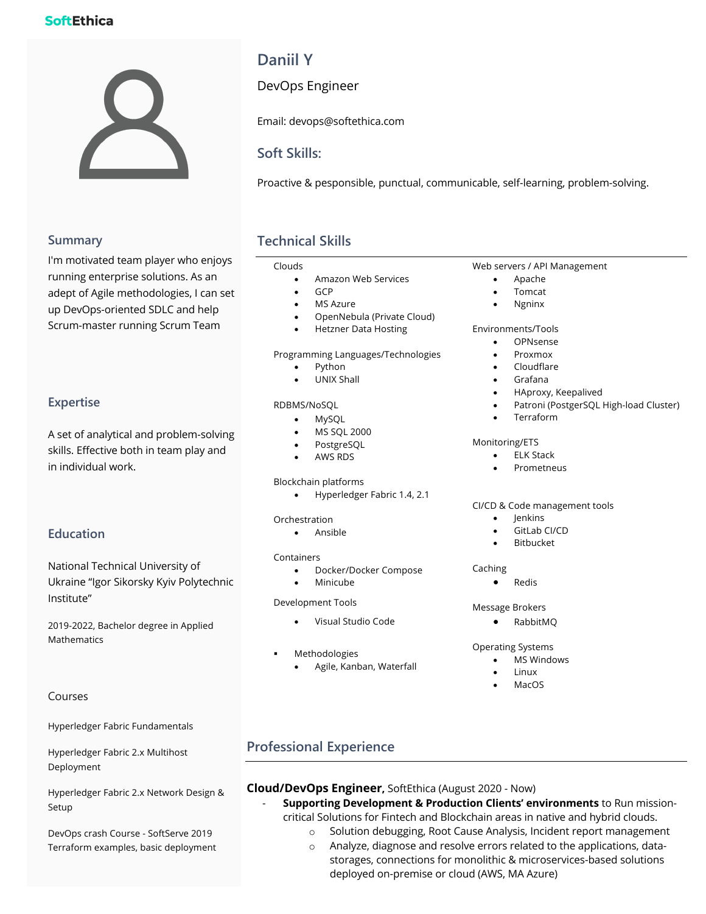## **SoftEthica**



# **Daniil Y**

DevOps Engineer

Email: devops@softethica.com

## **Soft Skills:**

Proactive & pesponsible, punctual, communicable, self-learning, problem-solving.

### **Summary**

I'm motivated team player who enjoys running enterprise solutions. As an adept of Agile methodologies, I can set up DevOps-oriented SDLC and help Scrum-master running Scrum Team

## **Expertise**

A set of analytical and problem-solving skills. Effective both in team play and in individual work.

### **Education**

National Technical University of Ukraine "Igor Sikorsky Kyiv Polytechnic Institute"

2019-2022, Bachelor degree in Applied Mathematics

### Courses

Hyperledger Fabric Fundamentals

Hyperledger Fabric 2.x Multihost Deployment

Hyperledger Fabric 2.x Network Design & Setup

DevOps crash Course - SoftServe 2019 Terraform examples, basic deployment

## **Technical Skills**

#### Clouds

- Amazon Web Services
- GCP
- MS Azure
- OpenNebula (Private Cloud)
- Hetzner Data Hosting

Programming Languages/Technologies

- Python
- UNIX Shall

#### RDBMS/NoSQL

- MySQL
- MS SQL 2000
- PostgreSQL
- AWS RDS

#### Blockchain platforms

• Hyperledger Fabric 1.4, 2.1

#### Orchestration

• Ansible

#### Containers

- Docker/Docker Compose
- Minicube

### Development Tools

- Visual Studio Code
- **Methodologies**

#### • Agile, Kanban, Waterfall

### Web servers / API Management

- Apache
- Tomcat
- Ngninx

#### Environments/Tools

- OPNsense
- Proxmox
- Cloudflare
- Grafana
- HAproxy, Keepalived
- Patroni (PostgerSQL High-load Cluster)
- **Terraform**

#### Monitoring/ETS

- **ELK Stack**
- **Prometneus**

#### CI/CD & Code management tools

- Jenkins
- GitLab CI/CD
- **Bitbucket**

#### Caching

• Redis

#### Message Brokers

• RabbitMQ

#### Operating Systems

- MS Windows
- Linux
- MacOS

## **Professional Experience**

### **Cloud/DevOps Engineer,** SoftEthica (August 2020 - Now)

- **Supporting Development & Production Clients' environments** to Run missioncritical Solutions for Fintech and Blockchain areas in native and hybrid clouds.
	- o Solution debugging, Root Cause Analysis, Incident report management
	- o Analyze, diagnose and resolve errors related to the applications, datastorages, connections for monolithic & microservices-based solutions deployed on-premise or cloud (AWS, MA Azure)